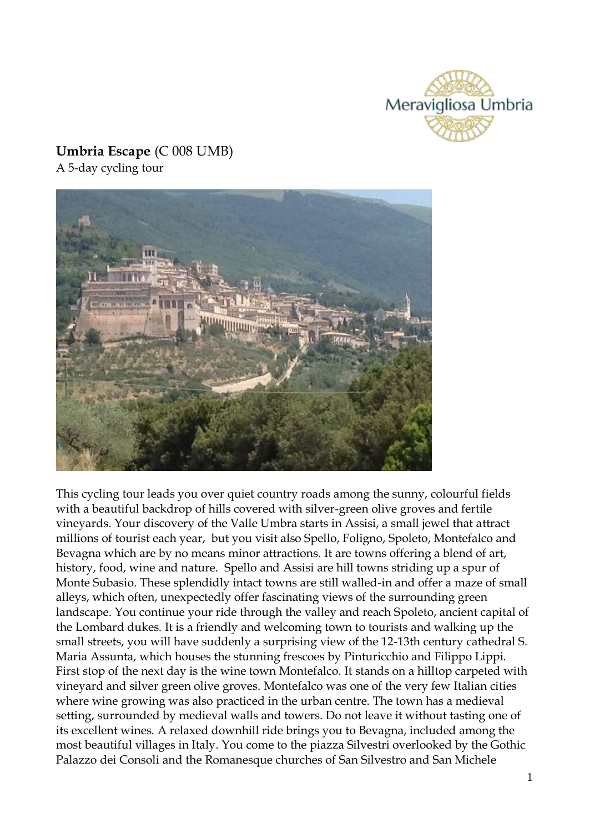

# **Umbria Escape** (C 008 UMB)

A 5-day cycling tour



This cycling tour leads you over quiet country roads among the sunny, colourful fields with a beautiful backdrop of hills covered with silver-green olive groves and fertile vineyards. Your discovery of the Valle Umbra starts in Assisi, a small jewel that attract millions of tourist each year, but you visit also Spello, Foligno, Spoleto, Montefalco and Bevagna which are by no means minor attractions. It are towns offering a blend of art, history, food, wine and nature. Spello and Assisi are hill towns striding up a spur of Monte Subasio. These splendidly intact towns are still walled-in and offer a maze of small alleys, which often, unexpectedly offer fascinating views of the surrounding green landscape. You continue your ride through the valley and reach Spoleto, ancient capital of the Lombard dukes. It is a friendly and welcoming town to tourists and walking up the small streets, you will have suddenly a surprising view of the 12-13th century cathedral S. Maria Assunta, which houses the stunning frescoes by Pinturicchio and Filippo Lippi. First stop of the next day is the wine town Montefalco. It stands on a hilltop carpeted with vineyard and silver green olive groves. Montefalco was one of the very few Italian cities where wine growing was also practiced in the urban centre. The town has a medieval setting, surrounded by medieval walls and towers. Do not leave it without tasting one of its excellent wines. A relaxed downhill ride brings you to Bevagna, included among the most beautiful villages in Italy. You come to the piazza Silvestri overlooked by the Gothic Palazzo dei Consoli and the Romanesque churches of San Silvestro and San Michele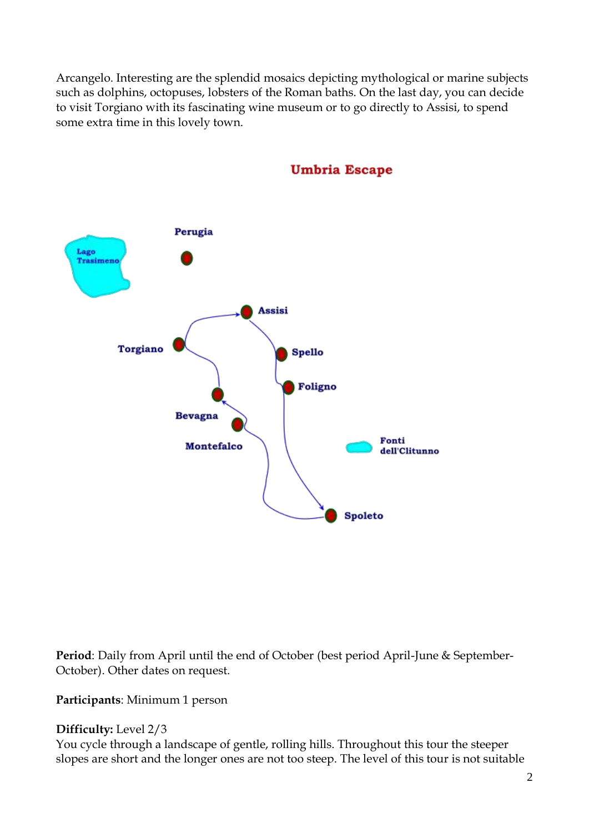Arcangelo. Interesting are the splendid mosaics depicting mythological or marine subjects such as dolphins, octopuses, lobsters of the Roman baths. On the last day, you can decide to visit Torgiano with its fascinating wine museum or to go directly to Assisi, to spend some extra time in this lovely town.



**Umbria Escape** 

**Period**: Daily from April until the end of October (best period April-June & September-October). Other dates on request.

**Participants**: Minimum 1 person

## **Difficulty:** Level 2/3

You cycle through a landscape of gentle, rolling hills. Throughout this tour the steeper slopes are short and the longer ones are not too steep. The level of this tour is not suitable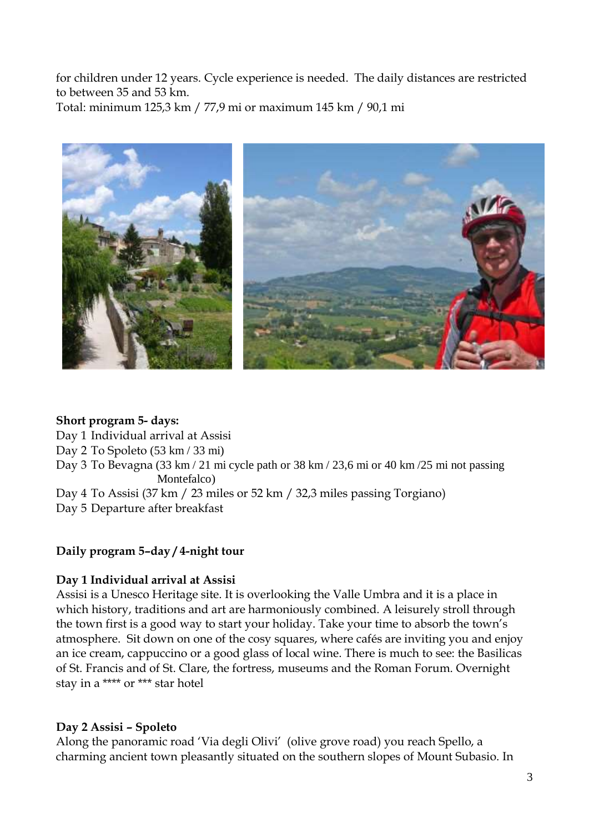for children under 12 years. Cycle experience is needed. The daily distances are restricted to between 35 and 53 km.

Total: minimum 125,3 km / 77,9 mi or maximum 145 km / 90,1 mi



### **Short program 5- days:**

Day 1 Individual arrival at Assisi

Day 2 To Spoleto (53 km / 33 mi)

Day 3 To Bevagna (33 km / 21 mi cycle path or 38 km / 23,6 mi or 40 km / 25 mi not passing Montefalco)

Day 4 To Assisi (37 km / 23 miles or 52 km / 32,3 miles passing Torgiano) Day 5 Departure after breakfast

## **Daily program 5–day / 4-night tour**

## **Day 1 Individual arrival at Assisi**

Assisi is a Unesco Heritage site. It is overlooking the Valle Umbra and it is a place in which history, traditions and art are harmoniously combined. A leisurely stroll through the town first is a good way to start your holiday. Take your time to absorb the town's atmosphere. Sit down on one of the cosy squares, where cafés are inviting you and enjoy an ice cream, cappuccino or a good glass of local wine. There is much to see: the Basilicas of St. Francis and of St. Clare, the fortress, museums and the Roman Forum. Overnight stay in a \*\*\*\* or \*\*\* star hotel

## **Day 2 Assisi – Spoleto**

Along the panoramic road 'Via degli Olivi' (olive grove road) you reach Spello, a charming ancient town pleasantly situated on the southern slopes of Mount Subasio. In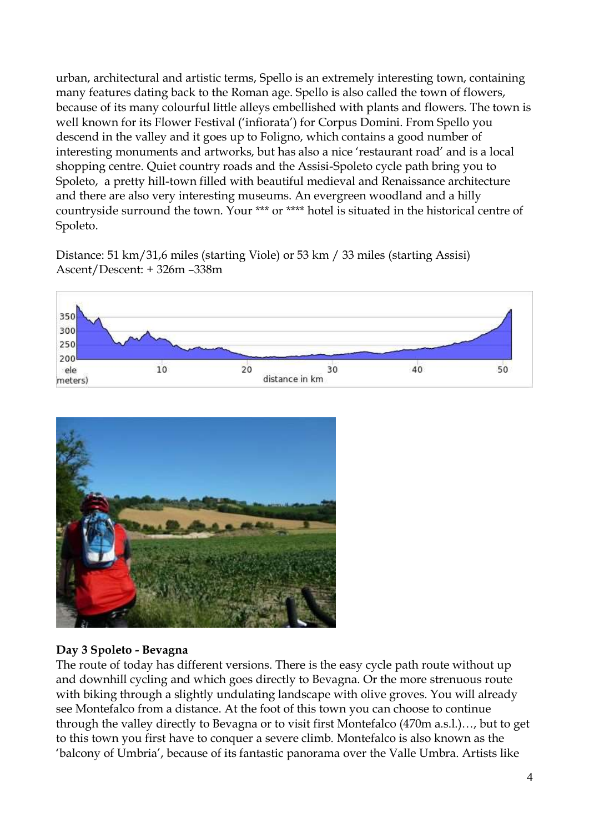urban, architectural and artistic terms, Spello is an extremely interesting town, containing many features dating back to the Roman age. Spello is also called the town of flowers, because of its many colourful little alleys embellished with plants and flowers. The town is well known for its Flower Festival ('infiorata') for Corpus Domini. From Spello you descend in the valley and it goes up to Foligno, which contains a good number of interesting monuments and artworks, but has also a nice 'restaurant road' and is a local shopping centre. Quiet country roads and the Assisi-Spoleto cycle path bring you to Spoleto, a pretty hill-town filled with beautiful medieval and Renaissance architecture and there are also very interesting museums. An evergreen woodland and a hilly countryside surround the town. Your \*\*\* or \*\*\*\* hotel is situated in the historical centre of Spoleto.

Distance: 51 km/31,6 miles (starting Viole) or 53 km / 33 miles (starting Assisi) Ascent/Descent: + 326m –338m





## **Day 3 Spoleto - Bevagna**

The route of today has different versions. There is the easy cycle path route without up and downhill cycling and which goes directly to Bevagna. Or the more strenuous route with biking through a slightly undulating landscape with olive groves. You will already see Montefalco from a distance. At the foot of this town you can choose to continue through the valley directly to Bevagna or to visit first Montefalco (470m a.s.l.)…, but to get to this town you first have to conquer a severe climb. Montefalco is also known as the 'balcony of Umbria', because of its fantastic panorama over the Valle Umbra. Artists like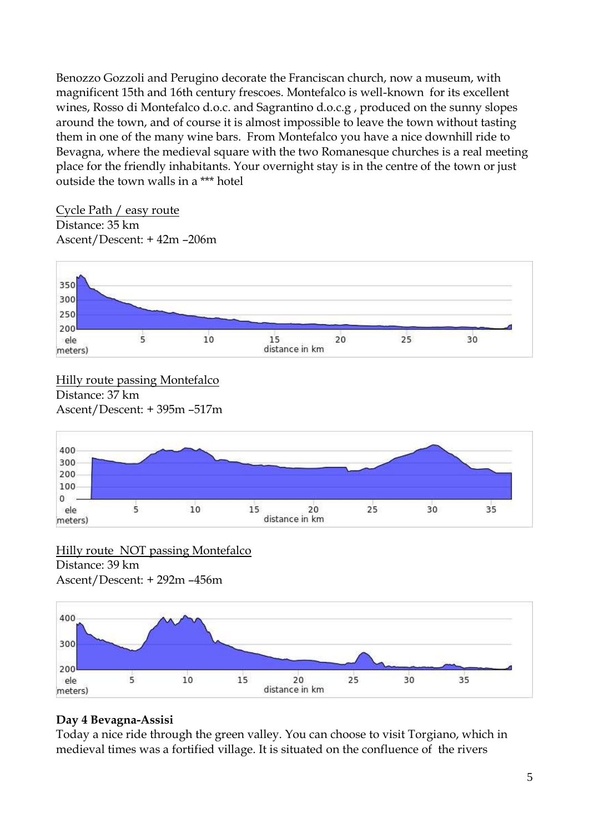Benozzo Gozzoli and Perugino decorate the Franciscan church, now a museum, with magnificent 15th and 16th century frescoes. Montefalco is well-known for its excellent wines, Rosso di Montefalco d.o.c. and Sagrantino d.o.c.g , produced on the sunny slopes around the town, and of course it is almost impossible to leave the town without tasting them in one of the many wine bars. From Montefalco you have a nice downhill ride to Bevagna, where the medieval square with the two Romanesque churches is a real meeting place for the friendly inhabitants. Your overnight stay is in the centre of the town or just outside the town walls in a \*\*\* hotel

Cycle Path / easy route Distance: 35 km Ascent/Descent: + 42m –206m



Hilly route passing Montefalco Distance: 37 km Ascent/Descent: + 395m –517m



#### Hilly route NOT passing Montefalco Distance: 39 km Ascent/Descent: + 292m –456m



## **Day 4 Bevagna-Assisi**

Today a nice ride through the green valley. You can choose to visit Torgiano, which in medieval times was a fortified village. It is situated on the confluence of the rivers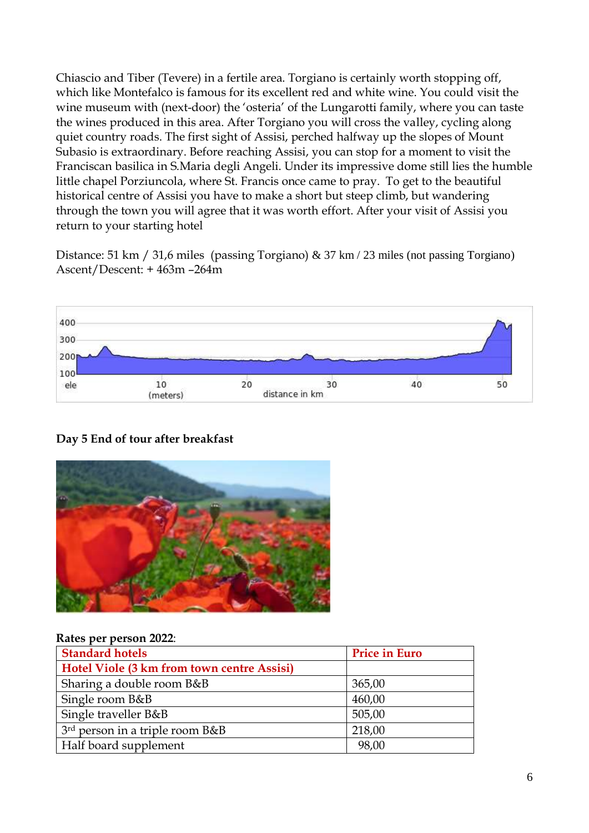Chiascio and Tiber (Tevere) in a fertile area. Torgiano is certainly worth stopping off, which like Montefalco is famous for its excellent red and white wine. You could visit the wine museum with (next-door) the 'osteria' of the Lungarotti family, where you can taste the wines produced in this area. After Torgiano you will cross the valley, cycling along quiet country roads. The first sight of Assisi, perched halfway up the slopes of Mount Subasio is extraordinary. Before reaching Assisi, you can stop for a moment to visit the Franciscan basilica in S.Maria degli Angeli. Under its impressive dome still lies the humble little chapel Porziuncola, where St. Francis once came to pray. To get to the beautiful historical centre of Assisi you have to make a short but steep climb, but wandering through the town you will agree that it was worth effort. After your visit of Assisi you return to your starting hotel

Distance: 51 km / 31,6 miles (passing Torgiano) & 37 km / 23 miles (not passing Torgiano) Ascent/Descent: + 463m –264m



## **Day 5 End of tour after breakfast**



#### **Rates per person 2022**:

| <b>Standard hotels</b>                      | <b>Price in Euro</b> |
|---------------------------------------------|----------------------|
| Hotel Viole (3 km from town centre Assisi)  |                      |
| Sharing a double room B&B                   | 365,00               |
| Single room B&B                             | 460,00               |
| Single traveller B&B                        | 505,00               |
| 3 <sup>rd</sup> person in a triple room B&B | 218,00               |
| Half board supplement                       | 98,00                |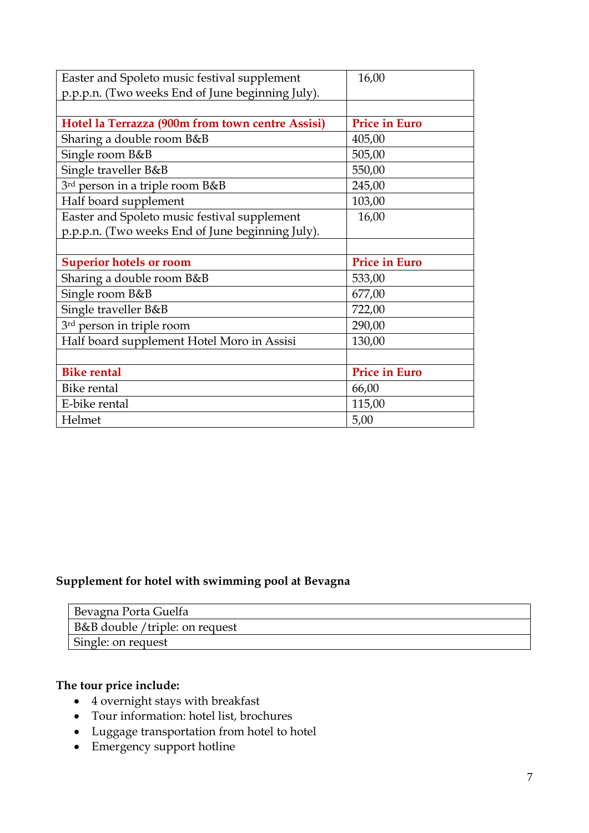| Easter and Spoleto music festival supplement     | 16,00                |
|--------------------------------------------------|----------------------|
| p.p.p.n. (Two weeks End of June beginning July). |                      |
|                                                  |                      |
| Hotel la Terrazza (900m from town centre Assisi) | <b>Price in Euro</b> |
| Sharing a double room B&B                        | 405,00               |
| Single room B&B                                  | 505,00               |
| Single traveller B&B                             | 550,00               |
| 3rd person in a triple room B&B                  | 245,00               |
| Half board supplement                            | 103,00               |
| Easter and Spoleto music festival supplement     | 16,00                |
| p.p.p.n. (Two weeks End of June beginning July). |                      |
|                                                  |                      |
| <b>Superior hotels or room</b>                   | <b>Price in Euro</b> |
| Sharing a double room B&B                        | 533,00               |
| Single room B&B                                  | 677,00               |
| Single traveller B&B                             | 722,00               |
| 3rd person in triple room                        | 290,00               |
| Half board supplement Hotel Moro in Assisi       | 130,00               |
|                                                  |                      |
| <b>Bike rental</b>                               | <b>Price in Euro</b> |
| Bike rental                                      |                      |
|                                                  | 66,00                |
| E-bike rental                                    | 115,00               |

## **Supplement for hotel with swimming pool at Bevagna**

| Bevagna Porta Guelfa           |
|--------------------------------|
| B&B double /triple: on request |
| Single: on request             |

## **The tour price include:**

- 4 overnight stays with breakfast
- Tour information: hotel list, brochures
- Luggage transportation from hotel to hotel
- Emergency support hotline